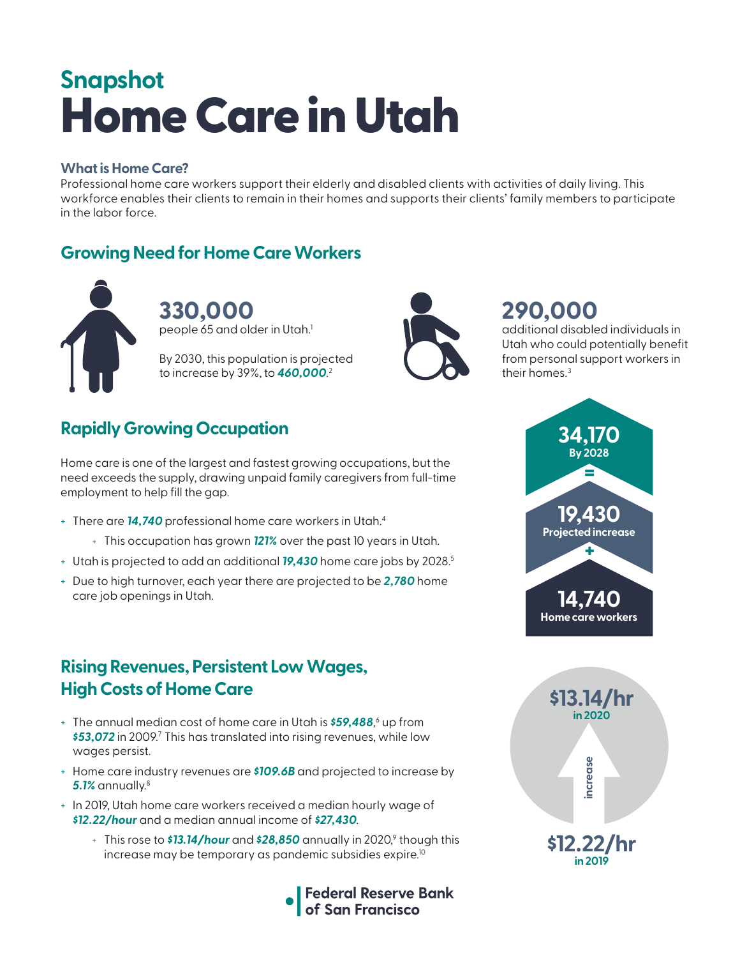# Home Care in Utah **Snapshot**

#### **What is Home Care?**

Professional home care workers support their elderly and disabled clients with activities of daily living. This workforce enables their clients to remain in their homes and supports their clients' family members to participate in the labor force.

## **Growing Need for Home Care Workers**



**330,000**  people  $\rm 65$  and older in Utah. $^{\rm 1}$ 

By 2030, this population is projected to increase by 39%, to *460,000*. 2



# **290,000**

additional disabled individuals in Utah who could potentially benefit from personal support workers in their homes.<sup>3</sup>

# **Rapidly Growing Occupation**

Home care is one of the largest and fastest growing occupations, but the need exceeds the supply, drawing unpaid family caregivers from full-time employment to help fill the gap.

- + There are *14,740* professional home care workers in Utah.4
	- + This occupation has grown *121%* over the past 10 years in Utah.
- + Utah is projected to add an additional *19,430* home care jobs by 2028.5
- + Due to high turnover, each year there are projected to be *2,780* home care job openings in Utah.

## **Rising Revenues, Persistent Low Wages, High Costs of Home Care**

- + The annual median cost of home care in Utah is *\$59,488*, 6 up from \$53,072 in 2009.<sup>7</sup> This has translated into rising revenues, while low wages persist.
- + Home care industry revenues are *\$109.6B* and projected to increase by *5.1%* annually.8
- + In 2019, Utah home care workers received a median hourly wage of *\$12.22/hour* and a median annual income of *\$27,430*.
	- + This rose to **\$13.14/hour** and **\$28,850** annually in 2020,<sup>9</sup> though this increase may be temporary as pandemic subsidies expire.<sup>10</sup>





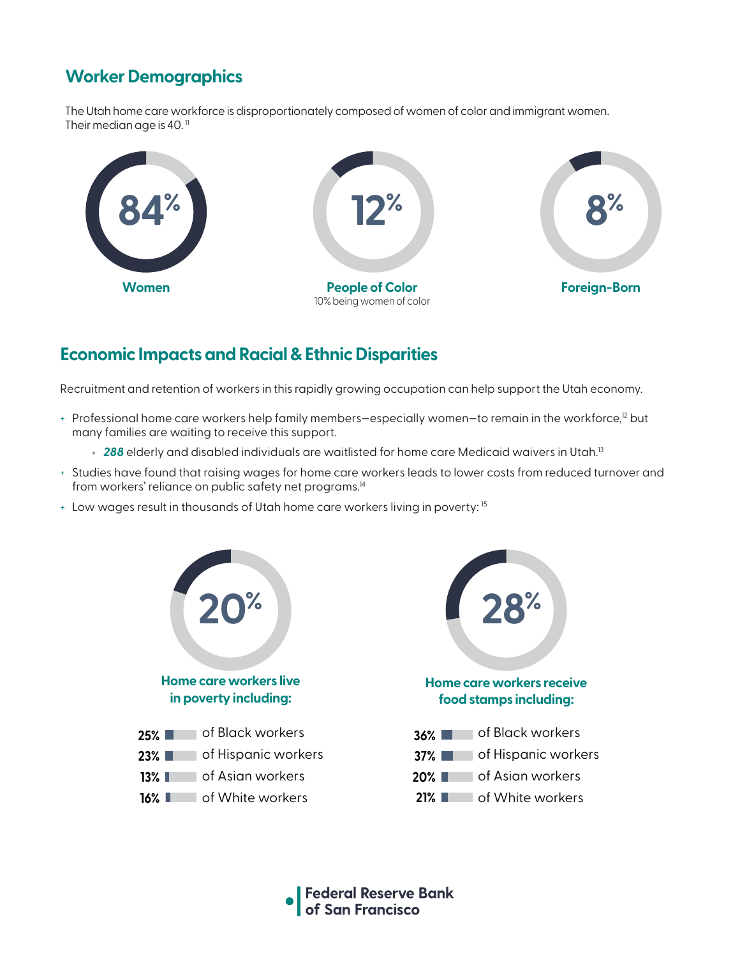# **Worker Demographics**

The Utah home care workforce is disproportionately composed of women of color and immigrant women. Their median age is 40. $<sup>11</sup>$ </sup>



## **Economic Impacts and Racial & Ethnic Disparities**

Recruitment and retention of workers in this rapidly growing occupation can help support the Utah economy.

- + Professional home care workers help family members–especially women–to remain in the workforce,<sup>12</sup> but many families are waiting to receive this support.
	- + 288 elderly and disabled individuals are waitlisted for home care Medicaid waivers in Utah.<sup>13</sup>
- + Studies have found that raising wages for home care workers leads to lower costs from reduced turnover and from workers' reliance on public safety net programs.<sup>14</sup>
- + Low wages result in thousands of Utah home care workers living in poverty: 15